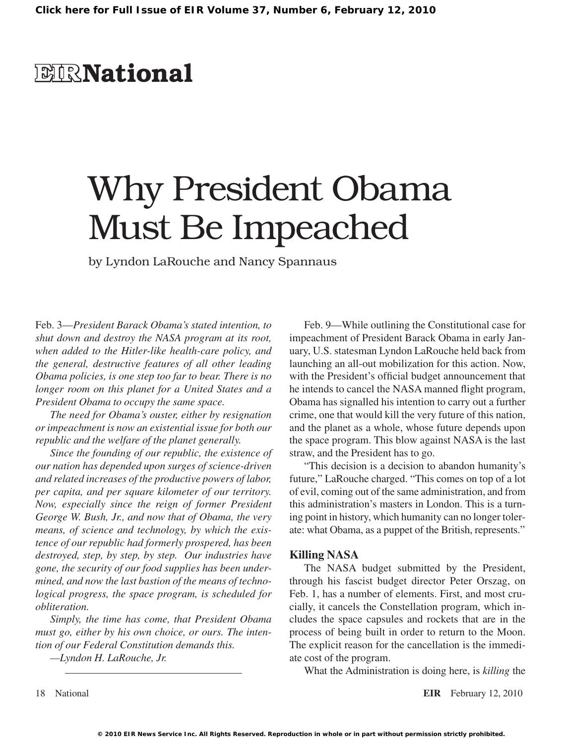## **EIR**National

# Why President Obama Must Be Impeached

by Lyndon LaRouche and Nancy Spannaus

Feb. 3—*President Barack Obama's stated intention, to shut down and destroy the NASA program at its root, when added to the Hitler-like health-care policy, and the general, destructive features of all other leading Obama policies, is one step too far to bear. There is no longer room on this planet for a United States and a President Obama to occupy the same space.*

*The need for Obama's ouster, either by resignation or impeachment is now an existential issue for both our republic and the welfare of the planet generally.*

*Since the founding of our republic, the existence of our nation has depended upon surges of science-driven and related increases of the productive powers of labor, per capita, and per square kilometer of our territory. Now, especially since the reign of former President George W. Bush, Jr., and now that of Obama, the very means, of science and technology, by which the existence of our republic had formerly prospered, has been destroyed, step, by step, by step. Our industries have gone, the security of our food supplies has been undermined, and now the last bastion of the means of technological progress, the space program, is scheduled for obliteration.*

*Simply, the time has come, that President Obama must go, either by his own choice, or ours. The intention of our Federal Constitution demands this.*

*—Lyndon H. LaRouche, Jr.*

Feb. 9—While outlining the Constitutional case for impeachment of President Barack Obama in early January, U.S. statesman Lyndon LaRouche held back from launching an all-out mobilization for this action. Now, with the President's official budget announcement that he intends to cancel the NASA manned flight program, Obama has signalled his intention to carry out a further crime, one that would kill the very future of this nation, and the planet as a whole, whose future depends upon the space program. This blow against NASA is the last straw, and the President has to go.

"This decision is a decision to abandon humanity's future," LaRouche charged. "This comes on top of a lot of evil, coming out of the same administration, and from this administration's masters in London. This is a turning point in history, which humanity can no longer tolerate: what Obama, as a puppet of the British, represents."

#### **Killing NASA**

The NASA budget submitted by the President, through his fascist budget director Peter Orszag, on Feb. 1, has a number of elements. First, and most crucially, it cancels the Constellation program, which includes the space capsules and rockets that are in the process of being built in order to return to the Moon. The explicit reason for the cancellation is the immediate cost of the program.

What the Administration is doing here, is *killing* the

18 National **EIR** February 12, 2010